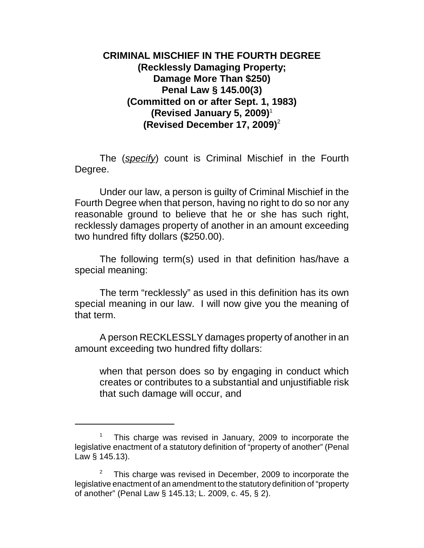## **CRIMINAL MISCHIEF IN THE FOURTH DEGREE (Recklessly Damaging Property; Damage More Than \$250) Penal Law § 145.00(3) (Committed on or after Sept. 1, 1983) (Revised January 5, 2009)**<sup>1</sup> **(Revised December 17, 2009)**<sup>2</sup>

The (*specify*) count is Criminal Mischief in the Fourth Degree.

Under our law, a person is guilty of Criminal Mischief in the Fourth Degree when that person, having no right to do so nor any reasonable ground to believe that he or she has such right, recklessly damages property of another in an amount exceeding two hundred fifty dollars (\$250.00).

The following term(s) used in that definition has/have a special meaning:

The term "recklessly" as used in this definition has its own special meaning in our law. I will now give you the meaning of that term.

A person RECKLESSLY damages property of another in an amount exceeding two hundred fifty dollars:

when that person does so by engaging in conduct which creates or contributes to a substantial and unjustifiable risk that such damage will occur, and

<sup>1</sup> This charge was revised in January, 2009 to incorporate the legislative enactment of a statutory definition of "property of another" (Penal Law § 145.13).

<sup>2</sup> This charge was revised in December, 2009 to incorporate the legislative enactment of an amendment to the statutory definition of "property of another" (Penal Law § 145.13; L. 2009, c. 45, § 2).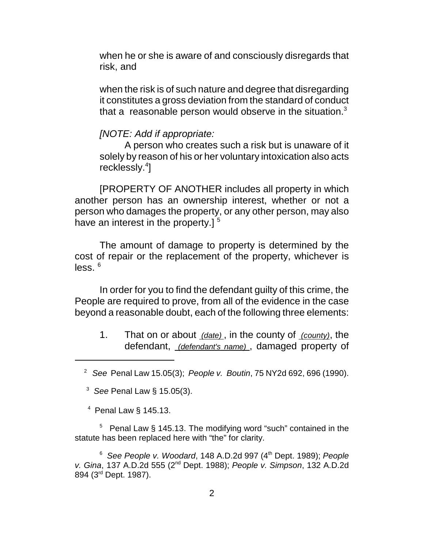when he or she is aware of and consciously disregards that risk, and

when the risk is of such nature and degree that disregarding it constitutes a gross deviation from the standard of conduct that a reasonable person would observe in the situation. $3$ 

## *[NOTE: Add if appropriate:*

A person who creates such a risk but is unaware of it solely by reason of his or her voluntary intoxication also acts recklessly.<sup>4</sup>]

[PROPERTY OF ANOTHER includes all property in which another person has an ownership interest, whether or not a person who damages the property, or any other person, may also have an interest in the property.]  $5$ 

The amount of damage to property is determined by the cost of repair or the replacement of the property, whichever is  $less.$ <sup>6</sup>

In order for you to find the defendant guilty of this crime, the People are required to prove, from all of the evidence in the case beyond a reasonable doubt, each of the following three elements:

1. That on or about *(date)* , in the county of *(county)*, the defendant, *(defendant's name)* , damaged property of

 $4$  Penal Law § 145.13.

 $5$  Penal Law § 145.13. The modifying word "such" contained in the statute has been replaced here with "the" for clarity.

<sup>6</sup> *See People v. Woodard*, 148 A.D.2d 997 (4th Dept. 1989); *People v. Gina*, 137 A.D.2d 555 (2nd Dept. 1988); *People v. Simpson*, 132 A.D.2d 894 (3rd Dept. 1987).

<sup>2</sup>*See* Penal Law 15.05(3); *People v. Boutin*, 75 NY2d 692, 696 (1990).

<sup>3</sup>  *See* Penal Law § 15.05(3).